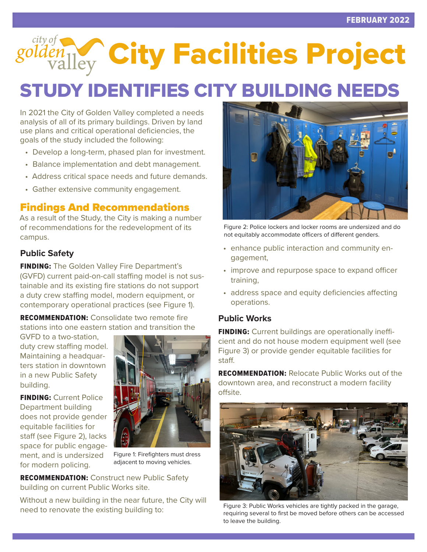golden<sub>Vallev</sub> City Facilities Project

# STUDY IDENTIFIES CITY BUILDING NEEDS

In 2021 the City of Golden Valley completed a needs analysis of all of its primary buildings. Driven by land use plans and critical operational deficiencies, the goals of the study included the following:

- Develop a long-term, phased plan for investment.
- Balance implementation and debt management.
- Address critical space needs and future demands.
- Gather extensive community engagement.

### Findings And Recommendations

As a result of the Study, the City is making a number of recommendations for the redevelopment of its campus.

#### **Public Safety**

**FINDING:** The Golden Valley Fire Department's (GVFD) current paid-on-call staffing model is not sustainable and its existing fire stations do not support a duty crew staffing model, modern equipment, or contemporary operational practices (see Figure 1).

**RECOMMENDATION:** Consolidate two remote fire stations into one eastern station and transition the

GVFD to a two-station, duty crew staffing model. Maintaining a headquarters station in downtown in a new Public Safety building.

**FINDING: Current Police** Department building does not provide gender equitable facilities for staff (see Figure 2), lacks space for public engagement, and is undersized for modern policing.



Figure 1: Firefighters must dress adjacent to moving vehicles.

**RECOMMENDATION:** Construct new Public Safety building on current Public Works site.

Without a new building in the near future, the City will need to renovate the existing building to:



Figure 2: Police lockers and locker rooms are undersized and do not equitably accommodate officers of different genders.

- enhance public interaction and community engagement,
- improve and repurpose space to expand officer training,
- address space and equity deficiencies affecting operations.

#### **Public Works**

**FINDING:** Current buildings are operationally inefficient and do not house modern equipment well (see Figure 3) or provide gender equitable facilities for staff.

RECOMMENDATION: Relocate Public Works out of the downtown area, and reconstruct a modern facility offsite.



Figure 3: Public Works vehicles are tightly packed in the garage, requiring several to first be moved before others can be accessed to leave the building.